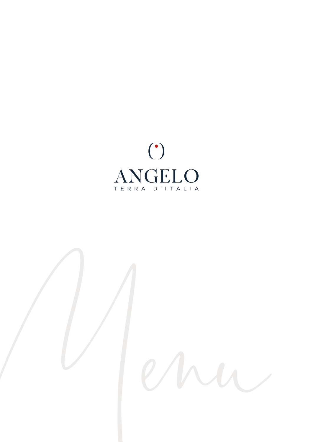

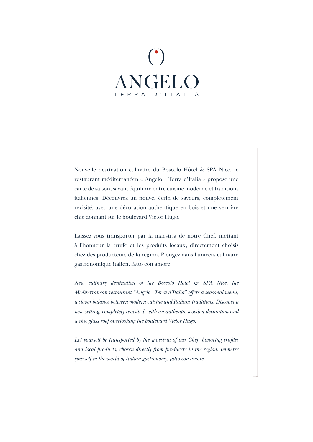# $GEL$ TERRA D'ITALIA

Nouvelle destination culinaire du Boscolo Hôtel & SPA Nice, le restaurant méditerranéen « Angelo | Terra d'Italia » propose une carte de saison, savant équilibre entre cuisine moderne et traditions italiennes. Découvrez un nouvel écrin de saveurs, complètement revisité, avec une décoration authentique en bois et une verrière chic donnant sur le boulevard Victor Hugo.

Laissez-vous transporter par la maestria de notre Chef, mettant à l'honneur la trufe et les produits locaux, directement choisis chez des producteurs de la région. Plongez dans l'univers culinaire gastronomique italien, fatto con amore.

*New culinary destination of the Boscolo Hotel & SPA Nice, the Mediterranean restaurant "Angelo | Terra d'Italia" ofers a seasonal menu, a clever balance between modern cuisine and Italians traditions. Discover a new setting, completely revisited, with an authentic wooden decoration and a chic glass roof overlooking the boulevard Victor Hugo.*

Let yourself be transported by the maestria of our Chef, honoring truffles *and local products, chosen directly from producers in the region. Immerse yourself in the world of Italian gastronomy, fatto con amore.*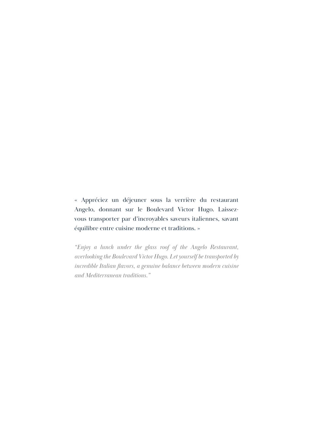« Appréciez un déjeuner sous la verrière du restaurant Angelo, donnant sur le Boulevard Victor Hugo. Laissezvous transporter par d'incroyables saveurs italiennes, savant équilibre entre cuisine moderne et traditions. »

*"Enjoy a lunch under the glass roof of the Angelo Restaurant, overlooking the Boulevard Victor Hugo. Let yourself be transported by incredible Italian favors, a genuine balance between modern cuisine and Mediterranean traditions."*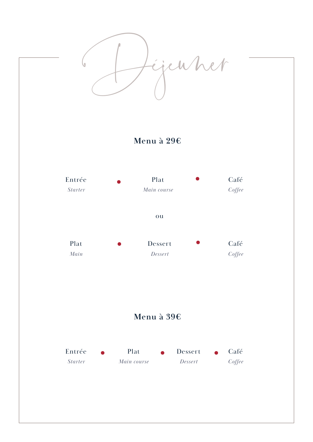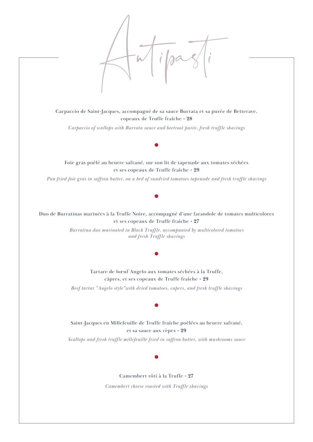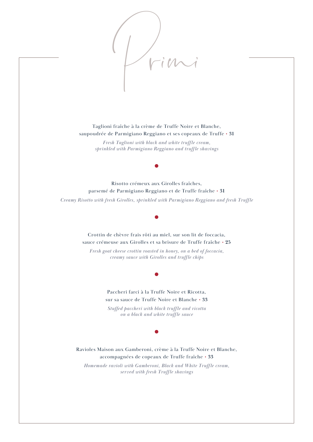

Taglioni fraîche à la crème de Truffe Noire et Blanche, saupoudrée de Parmigiano Reggiano et ses copeaux de Truffe • **31**

> *Fresh Taglioni with black and white truffle cream, sprinkled with Parmigiano Reggiano and truff le shavings*

Risotto crémeux aux Girolles fraîches, parsemé de Parmigiano Reggiano et de Truffe fraîche • **31**

*Creamy Risotto with fresh Girolles, sprinkled with Parmigiano Reggiano and fresh Truffle*

Crottin de chèvre frais rôti au miel, sur son lit de foccacia, sauce crémeuse aux Girolles et sa brisure de Truffe fraîche • **25** *Fresh goat cheese crottin roasted in honey, on a bed of foccacia, creamy sauce with Girolles and truffle chips* Paccheri farci à la Truffe Noire et Ricotta, sur sa sauce de Truffe Noire et Blanche • **33** *Stuffed paccheri with black truff le and ricotta on a black and white truff le sauce*  Ravioles Maison aux Gamberoni, crème à la Truffe Noire et Blanche, accompagnées de copeaux de Truffe fraîche • **33** *Homemade ravioli with Gamberoni, Black and White Truffle cream, served with fresh Truff le shavings*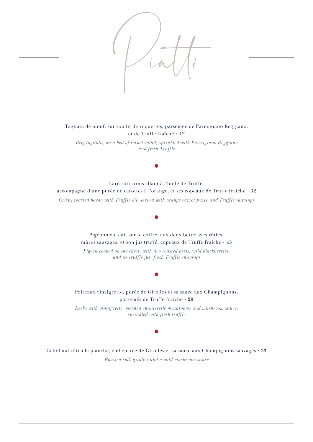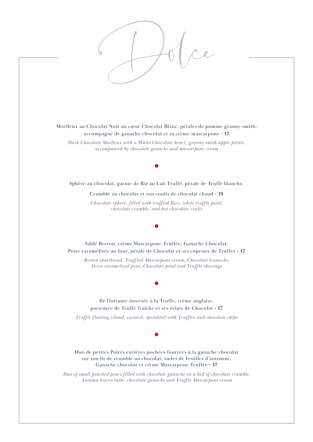

Moelleux au Chocolat Noir au cœur Chocolat Blanc, pétales de pomme granny-smith, accompagné de ganache chocolat et sa crème mascarpone • **17**

*Dark Chocolate Moelleux with a White Chocolate heart, granny-smith apple petals, accompanied by chocolate ganache and mascarpone cream* 

### Sphère au chocolat, garnie de Riz au Lait Truffé, pétale de Truffe blanche,

Crumble au chocolat et son coulis de chocolat chaud • **19**

*Chocolate sphere, filled with truffled Rice, white truffle petal, chocolate crumble, and hot chocolate coulis*

## Sablé Breton, crème Mascarpone Truffée, Ganache Chocolat, Poire caramélisée au four, pétale de Chocolat et ses copeaux de Truffes • **17**

*Breton shortbread, Truff led Mascarpone cream, Chocolate Ganache, Oven caramelized pear, Chocolate petal and Truff le shavings* 

Ile flottante inversée à la Truffe, crème anglaise, parsemée de Truffe fraîche et ses éclats de Chocolat • **17** *Truffle floating island, custard, sprinkled with Truffles and chocolate chips*

Duo de petites Poires entières pochées fourrées à la ganache chocolat sur son lit de crumble au chocolat, tuiles de Feuilles d'automne, Ganache chocolat et crème Mascarpone Truffée • **17**

*Duo of small poached pears filled with chocolate ganache on a bed of chocolate crumble, Autumn leaves tuile, chocolate ganache and Truff le Mascarpone cream*